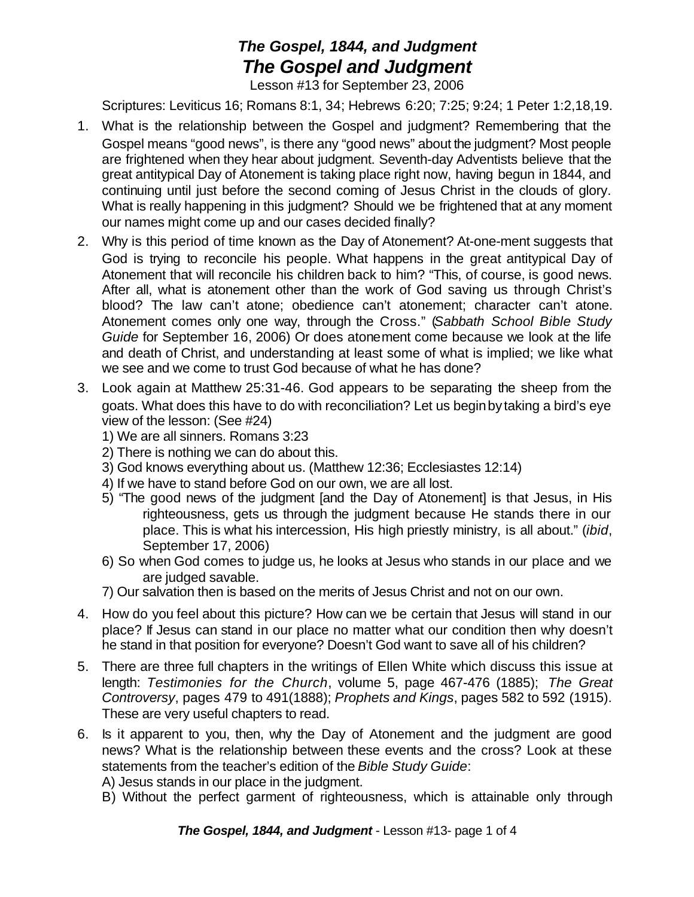## *The Gospel, 1844, and Judgment The Gospel and Judgment*

Lesson #13 for September 23, 2006

Scriptures: Leviticus 16; Romans 8:1, 34; Hebrews 6:20; 7:25; 9:24; 1 Peter 1:2,18,19.

- 1. What is the relationship between the Gospel and judgment? Remembering that the Gospel means "good news", is there any "good news" about the judgment? Most people are frightened when they hear about judgment. Seventh-day Adventists believe that the great antitypical Day of Atonement is taking place right now, having begun in 1844, and continuing until just before the second coming of Jesus Christ in the clouds of glory. What is really happening in this judgment? Should we be frightened that at any moment our names might come up and our cases decided finally?
- 2. Why is this period of time known as the Day of Atonement? At-one-ment suggests that God is trying to reconcile his people. What happens in the great antitypical Day of Atonement that will reconcile his children back to him? "This, of course, is good news. After all, what is atonement other than the work of God saving us through Christ's blood? The law can't atone; obedience can't atonement; character can't atone. Atonement comes only one way, through the Cross." (*Sabbath School Bible Study Guide* for September 16, 2006) Or does atonement come because we look at the life and death of Christ, and understanding at least some of what is implied; we like what we see and we come to trust God because of what he has done?
- 3. Look again at Matthew 25:31-46. God appears to be separating the sheep from the goats. What does this have to do with reconciliation? Let us beginby taking a bird's eye view of the lesson: (See #24)
	- 1) We are all sinners. Romans 3:23
	- 2) There is nothing we can do about this.
	- 3) God knows everything about us. (Matthew 12:36; Ecclesiastes 12:14)
	- 4) If we have to stand before God on our own, we are all lost.
	- 5) "The good news of the judgment [and the Day of Atonement] is that Jesus, in His righteousness, gets us through the judgment because He stands there in our place. This is what his intercession, His high priestly ministry, is all about." (*ibid*, September 17, 2006)
	- 6) So when God comes to judge us, he looks at Jesus who stands in our place and we are judged savable.
	- 7) Our salvation then is based on the merits of Jesus Christ and not on our own.
- 4. How do you feel about this picture? How can we be certain that Jesus will stand in our place? If Jesus can stand in our place no matter what our condition then why doesn't he stand in that position for everyone? Doesn't God want to save all of his children?
- 5. There are three full chapters in the writings of Ellen White which discuss this issue at length: *Testimonies for the Church*, volume 5, page 467-476 (1885); *The Great Controversy*, pages 479 to 491(1888); *Prophets and Kings*, pages 582 to 592 (1915). These are very useful chapters to read.
- 6. Is it apparent to you, then, why the Day of Atonement and the judgment are good news? What is the relationship between these events and the cross? Look at these statements from the teacher's edition of the *Bible Study Guide*:

A) Jesus stands in our place in the judgment.

B) Without the perfect garment of righteousness, which is attainable only through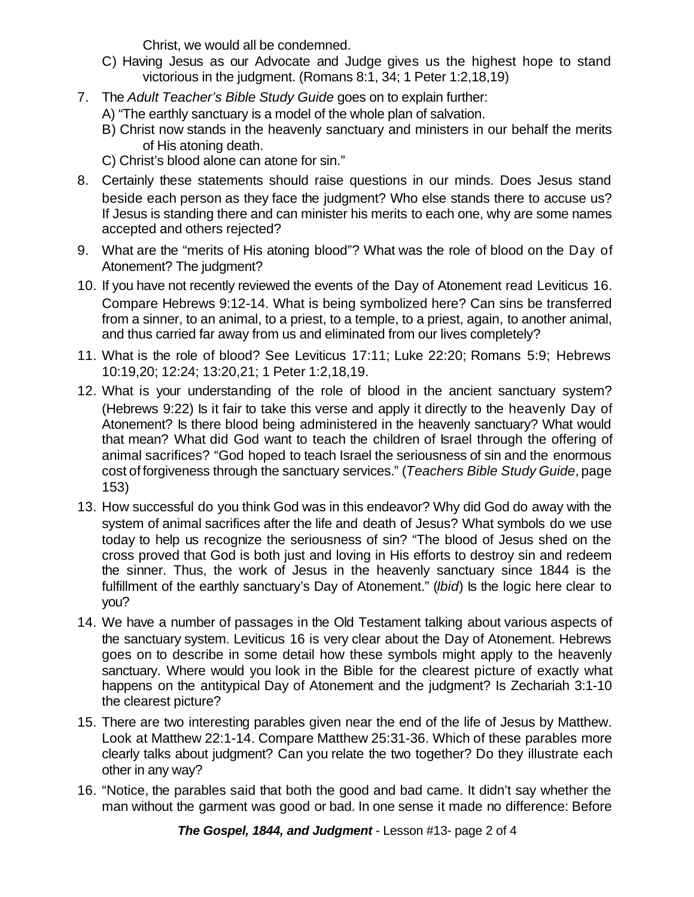Christ, we would all be condemned.

- C) Having Jesus as our Advocate and Judge gives us the highest hope to stand victorious in the judgment. (Romans 8:1, 34; 1 Peter 1:2,18,19)
- 7. The *Adult Teacher's Bible Study Guide* goes on to explain further:
	- A) "The earthly sanctuary is a model of the whole plan of salvation.
	- B) Christ now stands in the heavenly sanctuary and ministers in our behalf the merits of His atoning death.
	- C) Christ's blood alone can atone for sin."
- 8. Certainly these statements should raise questions in our minds. Does Jesus stand beside each person as they face the judgment? Who else stands there to accuse us? If Jesus is standing there and can minister his merits to each one, why are some names accepted and others rejected?
- 9. What are the "merits of His atoning blood"? What was the role of blood on the Day of Atonement? The judgment?
- 10. If you have not recently reviewed the events of the Day of Atonement read Leviticus 16. Compare Hebrews 9:12-14. What is being symbolized here? Can sins be transferred from a sinner, to an animal, to a priest, to a temple, to a priest, again, to another animal, and thus carried far away from us and eliminated from our lives completely?
- 11. What is the role of blood? See Leviticus 17:11; Luke 22:20; Romans 5:9; Hebrews 10:19,20; 12:24; 13:20,21; 1 Peter 1:2,18,19.
- 12. What is your understanding of the role of blood in the ancient sanctuary system? (Hebrews 9:22) Is it fair to take this verse and apply it directly to the heavenly Day of Atonement? Is there blood being administered in the heavenly sanctuary? What would that mean? What did God want to teach the children of Israel through the offering of animal sacrifices? "God hoped to teach Israel the seriousness of sin and the enormous cost of forgiveness through the sanctuary services." (*Teachers Bible Study Guide*, page 153)
- 13. How successful do you think God was in this endeavor? Why did God do away with the system of animal sacrifices after the life and death of Jesus? What symbols do we use today to help us recognize the seriousness of sin? "The blood of Jesus shed on the cross proved that God is both just and loving in His efforts to destroy sin and redeem the sinner. Thus, the work of Jesus in the heavenly sanctuary since 1844 is the fulfillment of the earthly sanctuary's Day of Atonement." (*Ibid*) Is the logic here clear to you?
- 14. We have a number of passages in the Old Testament talking about various aspects of the sanctuary system. Leviticus 16 is very clear about the Day of Atonement. Hebrews goes on to describe in some detail how these symbols might apply to the heavenly sanctuary. Where would you look in the Bible for the clearest picture of exactly what happens on the antitypical Day of Atonement and the judgment? Is Zechariah 3:1-10 the clearest picture?
- 15. There are two interesting parables given near the end of the life of Jesus by Matthew. Look at Matthew 22:1-14. Compare Matthew 25:31-36. Which of these parables more clearly talks about judgment? Can you relate the two together? Do they illustrate each other in any way?
- 16. "Notice, the parables said that both the good and bad came. It didn't say whether the man without the garment was good or bad. In one sense it made no difference: Before

*The Gospel, 1844, and Judgment* - Lesson #13- page 2 of 4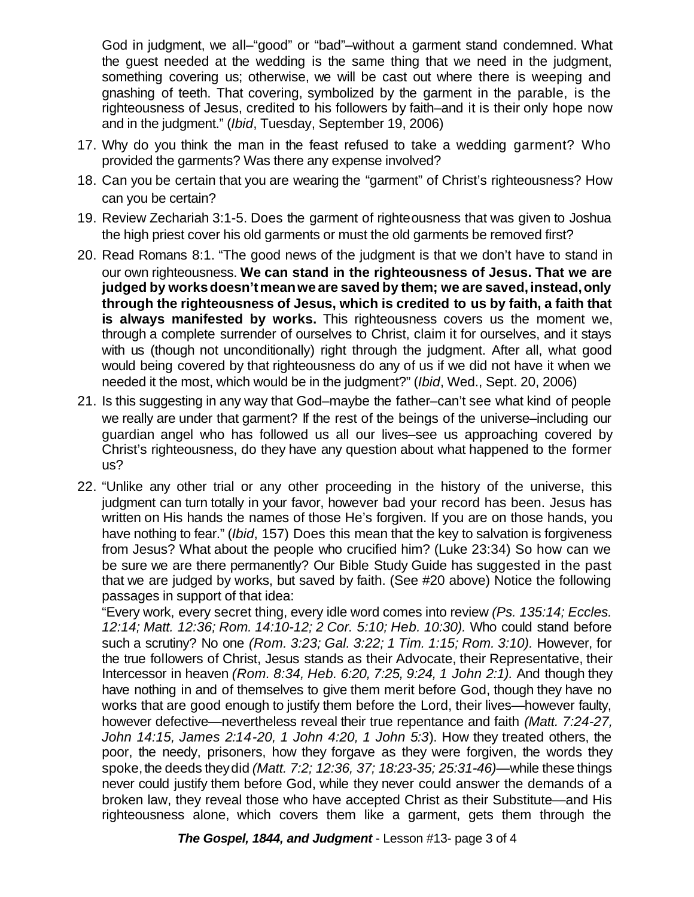God in judgment, we all–"good" or "bad"–without a garment stand condemned. What the guest needed at the wedding is the same thing that we need in the judgment, something covering us; otherwise, we will be cast out where there is weeping and gnashing of teeth. That covering, symbolized by the garment in the parable, is the righteousness of Jesus, credited to his followers by faith–and it is their only hope now and in the judgment." (*Ibid*, Tuesday, September 19, 2006)

- 17. Why do you think the man in the feast refused to take a wedding garment? Who provided the garments? Was there any expense involved?
- 18. Can you be certain that you are wearing the "garment" of Christ's righteousness? How can you be certain?
- 19. Review Zechariah 3:1-5. Does the garment of righteousness that was given to Joshua the high priest cover his old garments or must the old garments be removed first?
- 20. Read Romans 8:1. "The good news of the judgment is that we don't have to stand in our own righteousness. **We can stand in the righteousness of Jesus. That we are judged by worksdoesn'tmeanwe are saved by them; we are saved,instead,only through the righteousness of Jesus, which is credited to us by faith, a faith that is always manifested by works.** This righteousness covers us the moment we, through a complete surrender of ourselves to Christ, claim it for ourselves, and it stays with us (though not unconditionally) right through the judgment. After all, what good would being covered by that righteousness do any of us if we did not have it when we needed it the most, which would be in the judgment?" (*Ibid*, Wed., Sept. 20, 2006)
- 21. Is this suggesting in any way that God–maybe the father–can't see what kind of people we really are under that garment? If the rest of the beings of the universe–including our guardian angel who has followed us all our lives–see us approaching covered by Christ's righteousness, do they have any question about what happened to the former us?
- 22. "Unlike any other trial or any other proceeding in the history of the universe, this judgment can turn totally in your favor, however bad your record has been. Jesus has written on His hands the names of those He's forgiven. If you are on those hands, you have nothing to fear." (*Ibid*, 157) Does this mean that the key to salvation is forgiveness from Jesus? What about the people who crucified him? (Luke 23:34) So how can we be sure we are there permanently? Our Bible Study Guide has suggested in the past that we are judged by works, but saved by faith. (See #20 above) Notice the following passages in support of that idea:

"Every work, every secret thing, every idle word comes into review *(Ps. 135:14; Eccles. 12:14; Matt. 12:36; Rom. 14:10-12; 2 Cor. 5:10; Heb. 10:30).* Who could stand before such a scrutiny? No one *(Rom. 3:23; Gal. 3:22; 1 Tim. 1:15; Rom. 3:10).* However, for the true followers of Christ, Jesus stands as their Advocate, their Representative, their Intercessor in heaven *(Rom. 8:34, Heb. 6:20, 7:25, 9:24, 1 John 2:1).* And though they have nothing in and of themselves to give them merit before God, though they have no works that are good enough to justify them before the Lord, their lives—however faulty, however defective—nevertheless reveal their true repentance and faith *(Matt. 7:24-27, John 14:15, James 2:14-20, 1 John 4:20, 1 John 5:3*). How they treated others, the poor, the needy, prisoners, how they forgave as they were forgiven, the words they spoke, the deeds they did *(Matt. 7:2; 12:36, 37; 18:23-35; 25:31-46)—while these things* never could justify them before God, while they never could answer the demands of a broken law, they reveal those who have accepted Christ as their Substitute—and His righteousness alone, which covers them like a garment, gets them through the